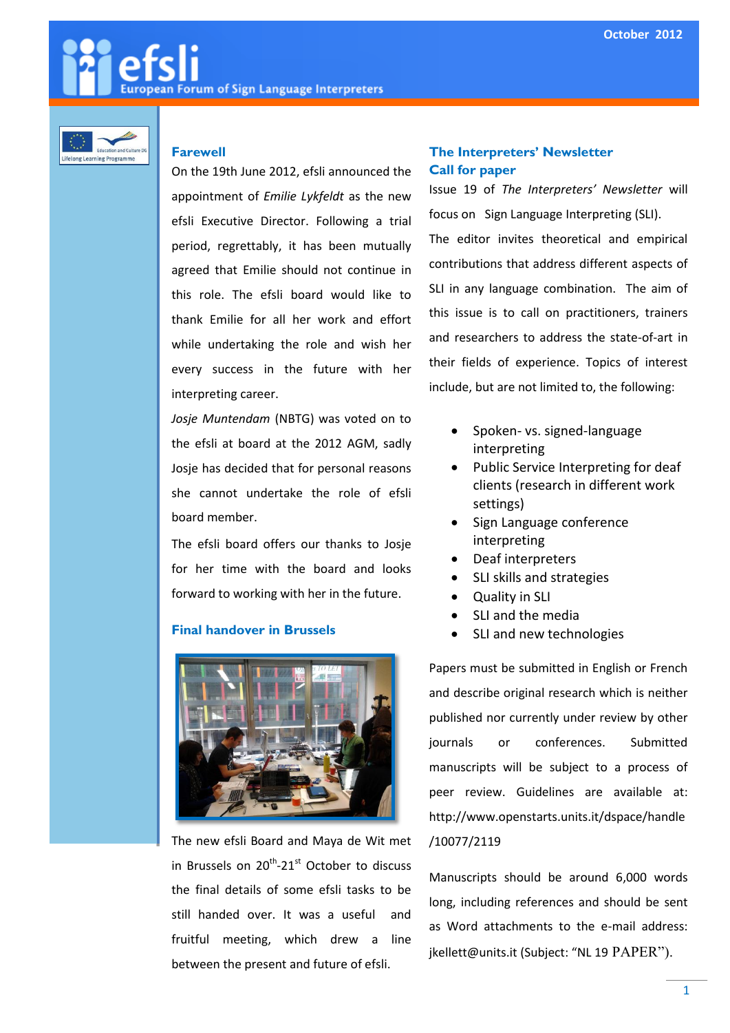# **European Forum of Sign Language Interpreters**



### **Farewell**

On the 19th June 2012, efsli announced the appointment of *Emilie Lykfeldt* as the new efsli Executive Director. Following a trial period, regrettably, it has been mutually agreed that Emilie should not continue in this role. The efsli board would like to thank Emilie for all her work and effort while undertaking the role and wish her every success in the future with her interpreting career.

*Josje Muntendam* (NBTG) was voted on to the efsli at board at the 2012 AGM, sadly Josje has decided that for personal reasons she cannot undertake the role of efsli board member.

The efsli board offers our thanks to Josje for her time with the board and looks forward to working with her in the future.

#### **Final handover in Brussels**



The new efsli Board and Maya de Wit met in Brussels on 20<sup>th</sup>-21<sup>st</sup> October to discuss the final details of some efsli tasks to be still handed over. It was a useful and fruitful meeting, which drew a line between the present and future of efsli.

### **The Interpreters' Newsletter Call for paper**

Issue 19 of *The Interpreters' Newsletter* will focus on Sign Language Interpreting (SLI). The editor invites theoretical and empirical contributions that address different aspects of SLI in any language combination. The aim of this issue is to call on practitioners, trainers and researchers to address the state-of-art in their fields of experience. Topics of interest include, but are not limited to, the following:

- Spoken- vs. signed-language interpreting
- Public Service Interpreting for deaf clients (research in different work settings)
- Sign Language conference interpreting
- Deaf interpreters
- SLI skills and strategies
- Quality in SLI
- SLI and the media
- SLI and new technologies

Papers must be submitted in English or French and describe original research which is neither published nor currently under review by other journals or conferences. Submitted manuscripts will be subject to a process of peer review. Guidelines are available at: http://www.openstarts.units.it/dspace/handle /10077/2119

Manuscripts should be around 6,000 words long, including references and should be sent as Word attachments to the e-mail address: jkellett@units.it (Subject: "NL 19 PAPER").